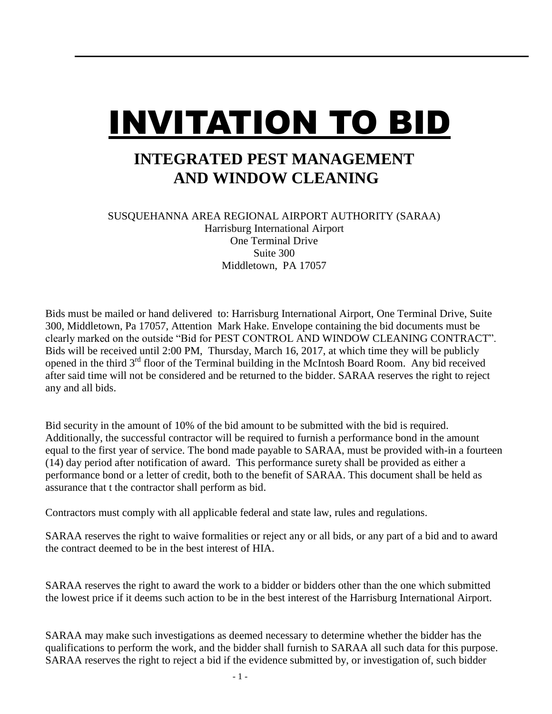## INVITATION TO BID

## **INTEGRATED PEST MANAGEMENT AND WINDOW CLEANING**

SUSQUEHANNA AREA REGIONAL AIRPORT AUTHORITY (SARAA) Harrisburg International Airport One Terminal Drive Suite 300 Middletown, PA 17057

Bids must be mailed or hand delivered to: Harrisburg International Airport, One Terminal Drive, Suite 300, Middletown, Pa 17057, Attention Mark Hake. Envelope containing the bid documents must be clearly marked on the outside "Bid for PEST CONTROL AND WINDOW CLEANING CONTRACT". Bids will be received until 2:00 PM, Thursday, March 16, 2017, at which time they will be publicly opened in the third  $3<sup>rd</sup>$  floor of the Terminal building in the McIntosh Board Room. Any bid received after said time will not be considered and be returned to the bidder. SARAA reserves the right to reject any and all bids.

Bid security in the amount of 10% of the bid amount to be submitted with the bid is required. Additionally, the successful contractor will be required to furnish a performance bond in the amount equal to the first year of service. The bond made payable to SARAA, must be provided with-in a fourteen (14) day period after notification of award. This performance surety shall be provided as either a performance bond or a letter of credit, both to the benefit of SARAA. This document shall be held as assurance that t the contractor shall perform as bid.

Contractors must comply with all applicable federal and state law, rules and regulations.

SARAA reserves the right to waive formalities or reject any or all bids, or any part of a bid and to award the contract deemed to be in the best interest of HIA.

SARAA reserves the right to award the work to a bidder or bidders other than the one which submitted the lowest price if it deems such action to be in the best interest of the Harrisburg International Airport.

SARAA may make such investigations as deemed necessary to determine whether the bidder has the qualifications to perform the work, and the bidder shall furnish to SARAA all such data for this purpose. SARAA reserves the right to reject a bid if the evidence submitted by, or investigation of, such bidder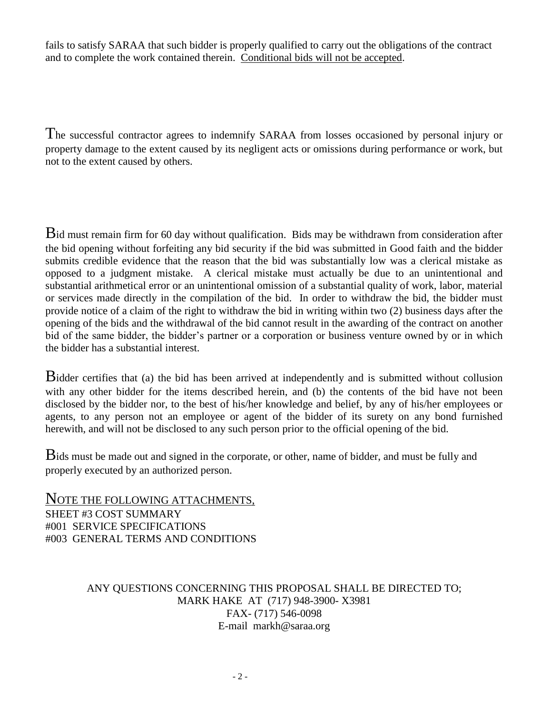fails to satisfy SARAA that such bidder is properly qualified to carry out the obligations of the contract and to complete the work contained therein. Conditional bids will not be accepted.

The successful contractor agrees to indemnify SARAA from losses occasioned by personal injury or property damage to the extent caused by its negligent acts or omissions during performance or work, but not to the extent caused by others.

Bid must remain firm for 60 day without qualification. Bids may be withdrawn from consideration after the bid opening without forfeiting any bid security if the bid was submitted in Good faith and the bidder submits credible evidence that the reason that the bid was substantially low was a clerical mistake as opposed to a judgment mistake. A clerical mistake must actually be due to an unintentional and substantial arithmetical error or an unintentional omission of a substantial quality of work, labor, material or services made directly in the compilation of the bid. In order to withdraw the bid, the bidder must provide notice of a claim of the right to withdraw the bid in writing within two (2) business days after the opening of the bids and the withdrawal of the bid cannot result in the awarding of the contract on another bid of the same bidder, the bidder's partner or a corporation or business venture owned by or in which the bidder has a substantial interest.

Bidder certifies that (a) the bid has been arrived at independently and is submitted without collusion with any other bidder for the items described herein, and (b) the contents of the bid have not been disclosed by the bidder nor, to the best of his/her knowledge and belief, by any of his/her employees or agents, to any person not an employee or agent of the bidder of its surety on any bond furnished herewith, and will not be disclosed to any such person prior to the official opening of the bid.

Bids must be made out and signed in the corporate, or other, name of bidder, and must be fully and properly executed by an authorized person.

NOTE THE FOLLOWING ATTACHMENTS, SHEET #3 COST SUMMARY #001 SERVICE SPECIFICATIONS #003 GENERAL TERMS AND CONDITIONS

## ANY QUESTIONS CONCERNING THIS PROPOSAL SHALL BE DIRECTED TO; MARK HAKE AT (717) 948-3900- X3981 FAX- (717) 546-0098 E-mail markh@saraa.org